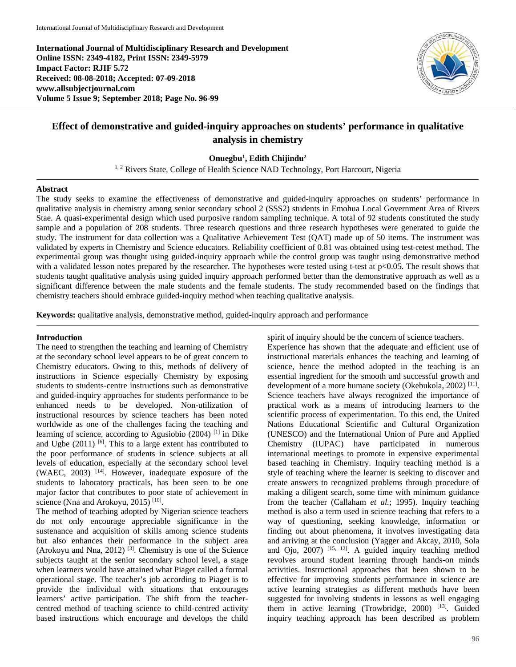**International Journal of Multidisciplinary Research and Development Online ISSN: 2349-4182, Print ISSN: 2349-5979 Impact Factor: RJIF 5.72 Received: 08-08-2018; Accepted: 07-09-2018 www.allsubjectjournal.com Volume 5 Issue 9; September 2018; Page No. 96-99**



# **Effect of demonstrative and guided-inquiry approaches on students' performance in qualitative analysis in chemistry**

**Onuegbu1 , Edith Chijindu2**

<sup>1, 2</sup> Rivers State, College of Health Science NAD Technology, Port Harcourt, Nigeria

#### **Abstract**

The study seeks to examine the effectiveness of demonstrative and guided-inquiry approaches on students' performance in qualitative analysis in chemistry among senior secondary school 2 (SSS2) students in Emohua Local Government Area of Rivers Stae. A quasi-experimental design which used purposive random sampling technique. A total of 92 students constituted the study sample and a population of 208 students. Three research questions and three research hypotheses were generated to guide the study. The instrument for data collection was a Qualitative Achievement Test (QAT) made up of 50 items. The instrument was validated by experts in Chemistry and Science educators. Reliability coefficient of 0.81 was obtained using test-retest method. The experimental group was thought using guided-inquiry approach while the control group was taught using demonstrative method with a validated lesson notes prepared by the researcher. The hypotheses were tested using t-test at  $p<0.05$ . The result shows that students taught qualitative analysis using guided inquiry approach performed better than the demonstrative approach as well as a significant difference between the male students and the female students. The study recommended based on the findings that chemistry teachers should embrace guided-inquiry method when teaching qualitative analysis.

**Keywords:** qualitative analysis, demonstrative method, guided-inquiry approach and performance

#### **Introduction**

The need to strengthen the teaching and learning of Chemistry at the secondary school level appears to be of great concern to Chemistry educators. Owing to this, methods of delivery of instructions in Science especially Chemistry by exposing students to students-centre instructions such as demonstrative and guided-inquiry approaches for students performance to be enhanced needs to be developed. Non-utilization of instructional resources by science teachers has been noted worldwide as one of the challenges facing the teaching and learning of science, according to Agusiobio (2004) [1] in Dike and Ugbe  $(2011)$  [6]. This to a large extent has contributed to the poor performance of students in science subjects at all levels of education, especially at the secondary school level (WAEC,  $2003$ ) <sup>[14]</sup>. However, inadequate exposure of the students to laboratory practicals, has been seen to be one major factor that contributes to poor state of achievement in science (Nna and Arokoyu, 2015)<sup>[10]</sup>.

The method of teaching adopted by Nigerian science teachers do not only encourage appreciable significance in the sustenance and acquisition of skills among science students but also enhances their performance in the subject area (Arokoyu and Nna, 2012)  $^{[3]}$ . Chemistry is one of the Science subjects taught at the senior secondary school level, a stage when learners would have attained what Piaget called a formal operational stage. The teacher's job according to Piaget is to provide the individual with situations that encourages learners' active participation. The shift from the teachercentred method of teaching science to child-centred activity based instructions which encourage and develops the child

spirit of inquiry should be the concern of science teachers. Experience has shown that the adequate and efficient use of instructional materials enhances the teaching and learning of science, hence the method adopted in the teaching is an essential ingredient for the smooth and successful growth and development of a more humane society (Okebukola, 2002) [11]. Science teachers have always recognized the importance of practical work as a means of introducing learners to the scientific process of experimentation. To this end, the United Nations Educational Scientific and Cultural Organization (UNESCO) and the International Union of Pure and Applied Chemistry (IUPAC) have participated in numerous international meetings to promote in expensive experimental based teaching in Chemistry. Inquiry teaching method is a style of teaching where the learner is seeking to discover and create answers to recognized problems through procedure of making a diligent search, some time with minimum guidance from the teacher (Callaham *et al.*; 1995). Inquiry teaching method is also a term used in science teaching that refers to a way of questioning, seeking knowledge, information or finding out about phenomena, it involves investigating data and arriving at the conclusion (Yagger and Akcay, 2010, Sola and Ojo, 2007) [15, 12]. A guided inquiry teaching method revolves around student learning through hands-on minds activities. Instructional approaches that been shown to be effective for improving students performance in science are active learning strategies as different methods have been suggested for involving students in lessons as well engaging them in active learning (Trowbridge, 2000) [13]. Guided inquiry teaching approach has been described as problem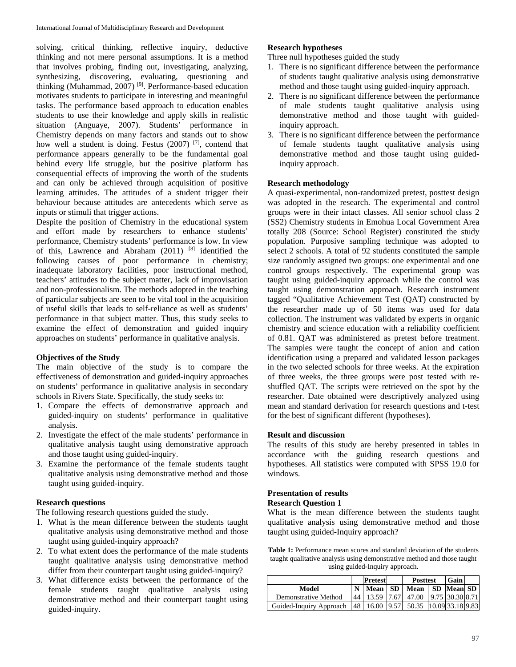solving, critical thinking, reflective inquiry, deductive thinking and not mere personal assumptions. It is a method that involves probing, finding out, investigating, analyzing, synthesizing, discovering, evaluating, questioning and thinking (Muhammad, 2007) [9]. Performance-based education motivates students to participate in interesting and meaningful tasks. The performance based approach to education enables students to use their knowledge and apply skills in realistic situation (Anguaye, 2007). Students' performance in Chemistry depends on many factors and stands out to show how well a student is doing. Festus  $(2007)$  <sup>[7]</sup>, contend that performance appears generally to be the fundamental goal behind every life struggle, but the positive platform has consequential effects of improving the worth of the students and can only be achieved through acquisition of positive learning attitudes. The attitudes of a student trigger their behaviour because attitudes are antecedents which serve as inputs or stimuli that trigger actions.

Despite the position of Chemistry in the educational system and effort made by researchers to enhance students' performance, Chemistry students' performance is low. In view of this, Lawrence and Abraham  $(2011)$  [8] identified the following causes of poor performance in chemistry; inadequate laboratory facilities, poor instructional method, teachers' attitudes to the subject matter, lack of improvisation and non-professionalism. The methods adopted in the teaching of particular subjects are seen to be vital tool in the acquisition of useful skills that leads to self-reliance as well as students' performance in that subject matter. Thus, this study seeks to examine the effect of demonstration and guided inquiry approaches on students' performance in qualitative analysis.

### **Objectives of the Study**

The main objective of the study is to compare the effectiveness of demonstration and guided-inquiry approaches on students' performance in qualitative analysis in secondary schools in Rivers State. Specifically, the study seeks to:

- 1. Compare the effects of demonstrative approach and guided-inquiry on students' performance in qualitative analysis.
- 2. Investigate the effect of the male students' performance in qualitative analysis taught using demonstrative approach and those taught using guided-inquiry.
- 3. Examine the performance of the female students taught qualitative analysis using demonstrative method and those taught using guided-inquiry.

### **Research questions**

The following research questions guided the study.

- 1. What is the mean difference between the students taught qualitative analysis using demonstrative method and those taught using guided-inquiry approach?
- 2. To what extent does the performance of the male students taught qualitative analysis using demonstrative method differ from their counterpart taught using guided-inquiry?
- 3. What difference exists between the performance of the female students taught qualitative analysis using demonstrative method and their counterpart taught using guided-inquiry.

# **Research hypotheses**

Three null hypotheses guided the study

- 1. There is no significant difference between the performance of students taught qualitative analysis using demonstrative method and those taught using guided-inquiry approach.
- 2. There is no significant difference between the performance of male students taught qualitative analysis using demonstrative method and those taught with guidedinquiry approach.
- 3. There is no significant difference between the performance of female students taught qualitative analysis using demonstrative method and those taught using guidedinquiry approach.

### **Research methodology**

A quasi-experimental, non-randomized pretest, posttest design was adopted in the research. The experimental and control groups were in their intact classes. All senior school class 2 (SS2) Chemistry students in Emohua Local Government Area totally 208 (Source: School Register) constituted the study population. Purposive sampling technique was adopted to select 2 schools. A total of 92 students constituted the sample size randomly assigned two groups: one experimental and one control groups respectively. The experimental group was taught using guided-inquiry approach while the control was taught using demonstration approach. Research instrument tagged "Qualitative Achievement Test (QAT) constructed by the researcher made up of 50 items was used for data collection. The instrument was validated by experts in organic chemistry and science education with a reliability coefficient of 0.81. QAT was administered as pretest before treatment. The samples were taught the concept of anion and cation identification using a prepared and validated lesson packages in the two selected schools for three weeks. At the expiration of three weeks, the three groups were post tested with reshuffled QAT. The scripts were retrieved on the spot by the researcher. Date obtained were descriptively analyzed using mean and standard derivation for research questions and t-test for the best of significant different (hypotheses).

## **Result and discussion**

The results of this study are hereby presented in tables in accordance with the guiding research questions and hypotheses. All statistics were computed with SPSS 19.0 for windows.

### **Presentation of results**

#### **Research Question 1**

What is the mean difference between the students taught qualitative analysis using demonstrative method and those taught using guided-Inquiry approach?

Table 1: Performance mean scores and standard deviation of the students taught qualitative analysis using demonstrative method and those taught using guided-Inquiry approach.

|                         |    | <b>Pretest</b> |      | <b>Posttest</b>        | <b>Gain</b>     |  |
|-------------------------|----|----------------|------|------------------------|-----------------|--|
| Model                   |    | Mean           | - SD | Mean                   | SD Mean SD      |  |
| Demonstrative Method    | 44 | 13.59          | 7.67 | 47.00                  | 9.75 30.30 8.71 |  |
| Guided-Inquiry Approach |    | 48 I<br>16.00  | 9.57 | 50.35 10.09 33.18 9.83 |                 |  |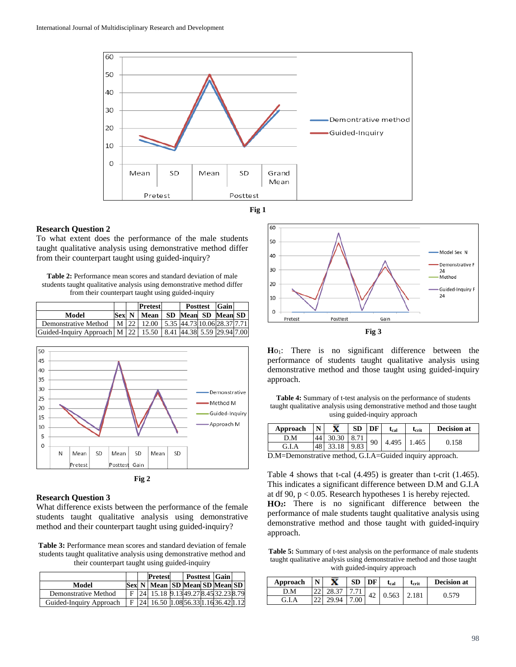



### **Research Question 2**

To what extent does the performance of the male students taught qualitative analysis using demonstrative method differ from their counterpart taught using guided-inquiry?

**Table 2:** Performance mean scores and standard deviation of male students taught qualitative analysis using demonstrative method differ from their counterpart taught using guided-inquiry

|                                                                               |  | <b>Pretest</b>                                                   |  | <b>Posttest</b> Gain |  |
|-------------------------------------------------------------------------------|--|------------------------------------------------------------------|--|----------------------|--|
| Model                                                                         |  | Sex N   Mean   SD   Mean   SD   Mean   SD                        |  |                      |  |
| Demonstrative Method                                                          |  | $\mid$ M $\mid$ 22   12.00   5.35   44.73   10.06   28.37   7.71 |  |                      |  |
| Guided-Inquiry Approach   M   22   15.50   8.41   44.38   5.59   29.94   7.00 |  |                                                                  |  |                      |  |





## **Research Question 3**

What difference exists between the performance of the female students taught qualitative analysis using demonstrative method and their counterpart taught using guided-inquiry?

**Table 3:** Performance mean scores and standard deviation of female students taught qualitative analysis using demonstrative method and their counterpart taught using guided-inquiry

|                         |  | Pretest                               | <b>Posttest Gain</b> |  |  |
|-------------------------|--|---------------------------------------|----------------------|--|--|
| Model                   |  | Sex N   Mean   SD Mean SD Mean SD     |                      |  |  |
| Demonstrative Method    |  | F 24 15.18 9.13 49.27 8.45 32.23 8.79 |                      |  |  |
| Guided-Inquiry Approach |  | 24 16.50 1.08 56.33 1.16 36.42 1.12   |                      |  |  |



Ho<sub>1</sub>: There is no significant difference between the performance of students taught qualitative analysis using demonstrative method and those taught using guided-inquiry approach.

**Table 4:** Summary of t-test analysis on the performance of students taught qualitative analysis using demonstrative method and those taught using guided-inquiry approach

| Approach     | $\mathbf N$ | X     |          | DF | $t_{cal}$ | $\tau_{\rm crit}$ | <b>Decision at</b> |  |  |
|--------------|-------------|-------|----------|----|-----------|-------------------|--------------------|--|--|
| D.M          | 44          | 30.30 | $Q$ $71$ | 90 | 4.495     | 1.465             | 0.158              |  |  |
| G.I.A        | 48          | 33.18 | 9.83     |    |           |                   |                    |  |  |
| . . <i>.</i> |             |       |          |    |           |                   |                    |  |  |

D.M=Demonstrative method, G.I.A=Guided inquiry approach.

Table 4 shows that t-cal (4.495) is greater than t-crit (1.465). This indicates a significant difference between D.M and G.I.A at df 90, p < 0.05. Research hypotheses 1 is hereby rejected. **HO2:** There is no significant difference between the performance of male students taught qualitative analysis using demonstrative method and those taught with guided-inquiry approach.

**Table 5:** Summary of t-test analysis on the performance of male students taught qualitative analysis using demonstrative method and those taught with guided-inquiry approach

| Approach        | N | x     | <b>SD</b> | DF | Ucal | $\mathbf{t}_{\textrm{crit}}$ | <b>Decision at</b> |       |
|-----------------|---|-------|-----------|----|------|------------------------------|--------------------|-------|
| .M              |   |       |           | 42 |      | 0.563                        | 2.181              |       |
| G.I<br>$\Delta$ |   | 29.94 | 7.00      |    |      |                              |                    | 0.579 |